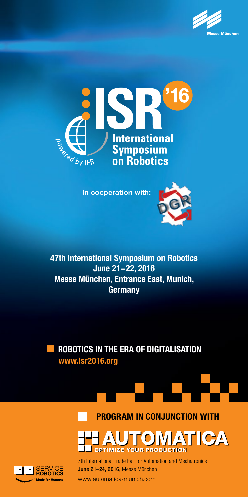



In cooperation with:



47th International Symposium on Robotics June 21−22, 2016 Messe München, Entrance East, Munich, **Germany** 

## www.isr2016.org ROBOTICS IN THE ERA OF DIGITALISATION







7th International Trade Fair for Automation and Mechatronics June 21–24, 2016, Messe München

www.automatica-munich.com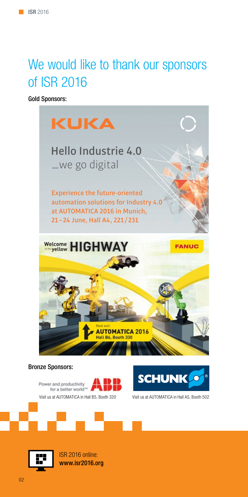## We would like to thank our sponsors of ISR 2016

Gold Sponsors:







Visit us at AUTOMATICA in Hall B5, Booth 320 Visit us at AUTOMATICA in Hall A5, Booth 502



ISR 2016 online: www.isr2016.org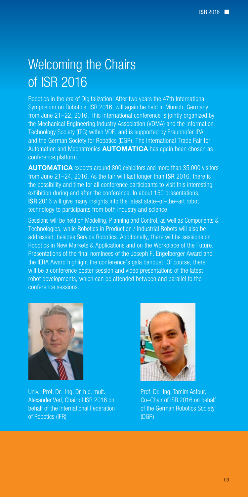## Welcoming the Chairs of ISR 2016

Robotics in the era of Digitalization! After two years the 47th International Symposium on Robotics, ISR 2016, will again be held in Munich, Germany, from June 21–22, 2016. This international conference is jointly organized by the Mechanical Engineering Industry Association (VDMA) and the Information Technology Society (ITG) within VDE, and is supported by Fraunhofer IPA and the German Society for Robotics (DGR). The International Trade Fair for Automation and Mechatronics **AUTOMATICA** has again been chosen as conference platform.

AUTOMATICA expects around 800 exhibitors and more than 35,000 visitors from June 21–24, 2016. As the fair will last longer than ISR 2016, there is the possibility and time for all conference participants to visit this interesting exhibition during and after the conference. In about 150 presentations, ISR 2016 will give many insights into the latest state–of–the–art robot technology to participants from both industry and science.

Sessions will be held on Modeling, Planning and Control, as well as Components & Technologies, while Robotics in Production / Industrial Robots will also be addressed, besides Service Robotics. Additionally, there will be sessions on Robotics in New Markets & Applications and on the Workplace of the Future. Presentations of the final nominees of the Joseph F. Engelberger Award and the IERA Award highlight the conference's gala banquet. Of course, there will be a conference poster session and video presentations of the latest robot developments, which can be attended between and parallel to the conference sessions.



Univ.–Prof. Dr.–Ing. Dr. h.c. mult. Alexander Verl, Chair of ISR 2016 on behalf of the International Federation of Robotics (IFR)



Prof. Dr.–Ing. Tamim Asfour, Co–Chair of ISR 2016 on behalf of the German Robotics Society (DGR)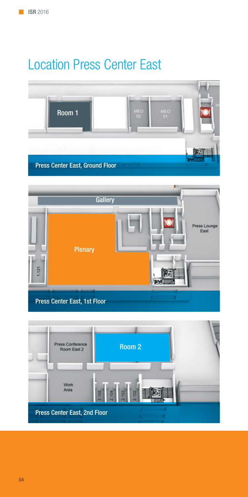## Location Press Center East





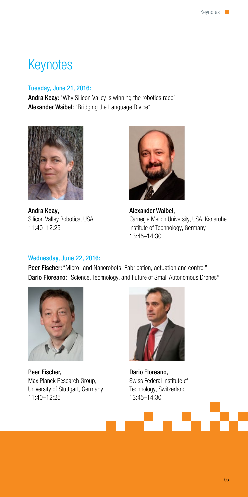## **Keynotes**

### Tuesday, June 21, 2016:

Andra Keay: "Why Silicon Valley is winning the robotics race" Alexander Waibel: "Bridging the Language Divide"



Andra Keay, Silicon Valley Robotics, USA 11:40–12:25



Alexander Waibel, Carnegie Mellon University, USA, Karlsruhe Institute of Technology, Germany 13:45–14:30

### Wednesday, June 22, 2016:

Peer Fischer: "Micro- and Nanorobots: Fabrication, actuation and control" Dario Floreano: "Science, Technology, and Future of Small Autonomous Drones"



Peer Fischer, Max Planck Research Group, University of Stuttgart, Germany 11:40–12:25



Dario Floreano, Swiss Federal Institute of Technology, Switzerland 13:45–14:30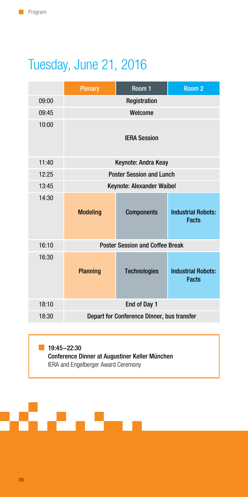# Tuesday, June 21, 2016

|       | Plenary                                    | Room 1              | Room <sub>2</sub>                         |  |
|-------|--------------------------------------------|---------------------|-------------------------------------------|--|
| 09:00 |                                            | Registration        |                                           |  |
| 09:45 | Welcome                                    |                     |                                           |  |
| 10:00 | <b>IERA Session</b>                        |                     |                                           |  |
| 11:40 | Keynote: Andra Keay                        |                     |                                           |  |
| 12:25 | <b>Poster Session and Lunch</b>            |                     |                                           |  |
| 13:45 | Keynote: Alexander Waibel                  |                     |                                           |  |
| 14:30 | <b>Modeling</b>                            | <b>Components</b>   | <b>Industrial Robots:</b><br><b>Facts</b> |  |
| 16:10 | <b>Poster Session and Coffee Break</b>     |                     |                                           |  |
| 16:30 | <b>Planning</b>                            | <b>Technologies</b> | <b>Industrial Robots:</b><br><b>Facts</b> |  |
| 18:10 | End of Day 1                               |                     |                                           |  |
| 18:30 | Depart for Conference Dinner, bus transfer |                     |                                           |  |

### ■ 19:45−22:30

Conference Dinner at Augustiner Keller München IERA and Engelberger Award Ceremony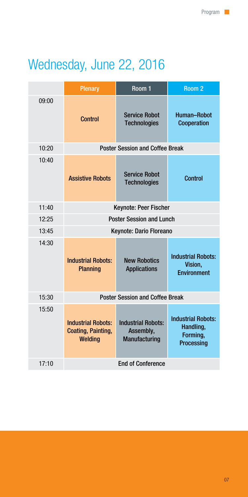# Wednesday, June 22, 2016

|       | Plenary                                                    | Room 1                                                  | Room <sub>2</sub>                                                |  |
|-------|------------------------------------------------------------|---------------------------------------------------------|------------------------------------------------------------------|--|
| 09:00 | <b>Control</b>                                             | <b>Service Robot</b><br><b>Technologies</b>             | Human-Robot<br>Cooperation                                       |  |
| 10:20 | <b>Poster Session and Coffee Break</b>                     |                                                         |                                                                  |  |
| 10:40 | <b>Assistive Robots</b>                                    | <b>Service Robot</b><br><b>Technologies</b>             | <b>Control</b>                                                   |  |
| 11:40 | Keynote: Peer Fischer                                      |                                                         |                                                                  |  |
| 12:25 | <b>Poster Session and Lunch</b>                            |                                                         |                                                                  |  |
| 13:45 | Keynote: Dario Floreano                                    |                                                         |                                                                  |  |
| 14:30 | <b>Industrial Robots:</b><br><b>Planning</b>               | <b>New Robotics</b><br><b>Applications</b>              | <b>Industrial Robots:</b><br>Vision,<br><b>Environment</b>       |  |
| 15:30 | <b>Poster Session and Coffee Break</b>                     |                                                         |                                                                  |  |
| 15:50 | <b>Industrial Robots:</b><br>Coating, Painting,<br>Welding | <b>Industrial Robots:</b><br>Assembly,<br>Manufacturing | <b>Industrial Robots:</b><br>Handling,<br>Forming,<br>Processing |  |
| 17:10 | <b>End of Conference</b>                                   |                                                         |                                                                  |  |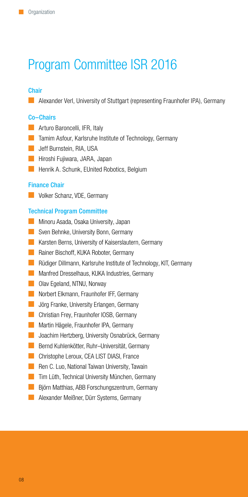## Program Committee ISR 2016

### Chair

**Alexander Verl, University of Stuttgart (representing Fraunhofer IPA), Germany** 

### Co–Chairs

- **Arturo Baroncelli, IFR, Italy**
- **Tamim Asfour, Karlsruhe Institute of Technology, Germany**
- **Jeff Burnstein, RIA, USA**
- **Hiroshi Fujiwara, JARA, Japan**
- **Henrik A. Schunk, EUnited Robotics, Belgium**

### Finance Chair

**Volker Schanz, VDE, Germany** 

### Technical Program Committee

- **Minoru Asada, Osaka University, Japan**
- Sven Behnke, University Bonn, Germany
- Karsten Berns, University of Kaiserslautern, Germany
- **Rainer Bischoff, KUKA Roboter, Germany**
- **Rüdiger Dillmann, Karlsruhe Institute of Technology, KIT, Germany**
- **Manfred Dresselhaus, KUKA Industries, Germany**
- **Colav Egeland, NTNU, Norway**
- Norbert Elkmann, Fraunhofer IFF, Germany
- **Jörg Franke, University Erlangen, Germany**
- **Christian Frey, Fraunhofer IOSB, Germany**
- **Martin Hägele, Fraunhofer IPA, Germany**
- **Joachim Hertzberg, University Osnabrück, Germany**
- Bernd Kuhlenkötter, Ruhr–Universität, Germany
- **Christophe Leroux, CEA LIST DIASI, France**
- **Ren C. Luo, National Taiwan University, Tawain**
- **Tim Lüth, Technical University München, Germany**
- **Biörn Matthias, ABB Forschungszentrum, Germany**
- **Alexander Meißner, Dürr Systems, Germany**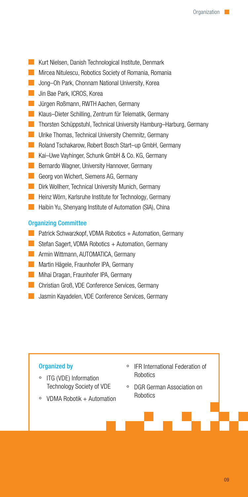- **Kurt Nielsen, Danish Technological Institute, Denmark**
- **Mircea Nitulescu, Robotics Society of Romania, Romania**
- **Jong–Oh Park, Chonnam National University, Korea**
- **Jin Bae Park, ICROS, Korea**
- **Jürgen Roßmann, RWTH Aachen, Germany**
- Klaus–Dieter Schilling, Zentrum für Telematik, Germany
- Thorsten Schüppstuhl, Technical University Hamburg–Harburg, Germany
- **Ulrike Thomas, Technical University Chemnitz, Germany**
- Roland Tschakarow, Robert Bosch Start–up GmbH, Germany
- **Kai–Uwe Vayhinger, Schunk GmbH & Co. KG, Germany**
- Bernardo Wagner, University Hannover, Germany
- Georg von Wichert, Siemens AG, Germany
- **Dirk Wollherr, Technical University Munich, Germany**
- **Heinz Wörn, Karlsruhe Institute for Technology, Germany**
- **Haibin Yu, Shenyang Institute of Automation (SIA), China**

### Organizing Committee

- **Patrick Schwarzkopf, VDMA Robotics + Automation, Germany**
- $\blacksquare$  Stefan Sagert, VDMA Robotics  $+$  Automation, Germany
- **Armin Wittmann, AUTOMATICA, Germany**
- **Martin Hägele, Fraunhofer IPA, Germany**
- **Mihai Dragan, Fraunhofer IPA, Germany**
- **Christian Groß, VDE Conference Services, Germany**
- **Jasmin Kayadelen, VDE Conference Services, Germany**

### Organized by

- ° ITG (VDE) Information Technology Society of VDE
- ° VDMA Robotik + Automation
- ° IFR International Federation of **Robotics**
- ° DGR German Association on **Robotics**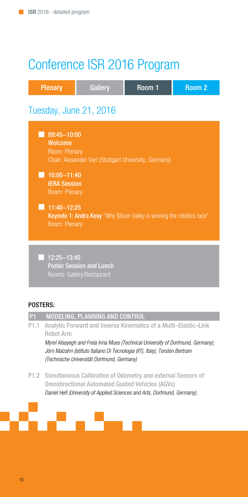## Conference ISR 2016 Program

|                                                                                                                                                                                                                                                                                         | <b>Plenary</b> | Gallery                                                         | Room 1 | Room <sub>2</sub> |  |  |
|-----------------------------------------------------------------------------------------------------------------------------------------------------------------------------------------------------------------------------------------------------------------------------------------|----------------|-----------------------------------------------------------------|--------|-------------------|--|--|
| Tuesday, June 21, 2016                                                                                                                                                                                                                                                                  |                |                                                                 |        |                   |  |  |
| $09:45 - 10:00$<br>Welcome<br>Room: Plenary<br>Chair: Alexander Verl (Stuttgart University, Germany)<br>10:00-11:40<br>×.<br><b>IERA Session</b><br>Room: Plenary<br>$11:40 - 12:25$<br>n i<br>Keynote 1: Andra Keay "Why Silicon Valley is winning the robotics race"<br>Room: Plenary |                |                                                                 |        |                   |  |  |
|                                                                                                                                                                                                                                                                                         | 12:25-13:45    | <b>Poster Session and Lunch</b><br>Rooms: Gallery/Restaurant    |        |                   |  |  |
| <b>POSTERS:</b>                                                                                                                                                                                                                                                                         |                |                                                                 |        |                   |  |  |
| P <sub>1</sub>                                                                                                                                                                                                                                                                          |                | MODELING, PLANNING AND CONTROL                                  |        |                   |  |  |
| P <sub>1.1</sub>                                                                                                                                                                                                                                                                        | Robot Arm      | Analytic Forward and Inverse Kinematics of a Multi-Elastic-Link |        |                   |  |  |

Myrel Alsayegh and Freia Irina Mues (Technical University of Dortmund, Germany); Jörn Malzahn (Istituto Italiano Di Tecnologia (IIT), Italy); Torsten Bertram (Technische Universität Dortmund, Germany)

P1.2 Simultaneous Calibration of Odometry and external Sensors of Omnidirectional Automated Guided Vehicles (AGVs)

Daniel Heß (University of Applied Sciences and Arts, Dortmund, Germany);

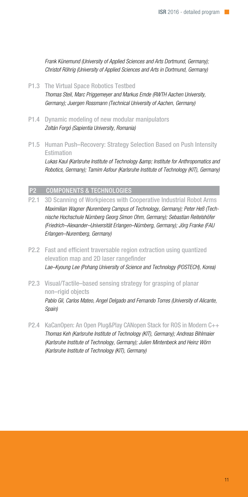Frank Künemund (University of Applied Sciences and Arts Dortmund, Germany); Christof Röhrig (University of Applied Sciences and Arts in Dortmund, Germany)

P1.3 The Virtual Space Robotics Testbed

Thomas Steil, Marc Priggemeyer and Markus Emde (RWTH Aachen University, Germany); Juergen Rossmann (Technical University of Aachen, Germany)

- P1.4 Dynamic modeling of new modular manipulators Zoltán Forgó (Sapientia University, Romania)
- P1.5 Human Push–Recovery: Strategy Selection Based on Push Intensity Estimation Lukas Kaul (Karlsruhe Institute of Technology & Institute for Anthropomatics and Robotics, Germany); Tamim Asfour (Karlsruhe Institute of Technology (KIT), Germany)

### P2 COMPONENTS & TECHNOLOGIES

- P2.1 3D Scanning of Workpieces with Cooperative Industrial Robot Arms Maximilian Wagner (Nuremberg Campus of Technology, Germany); Peter Heß (Technische Hochschule Nürnberg Georg Simon Ohm, Germany); Sebastian Reitelshöfer (Friedrich–Alexander–Universität Erlangen–Nürnberg, Germany); Jörg Franke (FAU Erlangen–Nuremberg, Germany)
- P2.2 Fast and efficient traversable region extraction using quantized elevation map and 2D laser rangefinder Lae–Kyoung Lee (Pohang University of Science and Technology (POSTECH), Korea)
- P2.3 Visual/Tactile–based sensing strategy for grasping of planar non–rigid objects Pablo Gil, Carlos Mateo, Angel Delgado and Fernando Torres (University of Alicante, Spain)
- P2.4 KaCanOpen: An Open Plug&Play CANopen Stack for ROS in Modern C++ Thomas Keh (Karlsruhe Institute of Technology (KIT), Germany); Andreas Bihlmaier (Karlsruhe Institute of Technology, Germany); Julien Mintenbeck and Heinz Wörn (Karlsruhe Institute of Technology (KIT), Germany)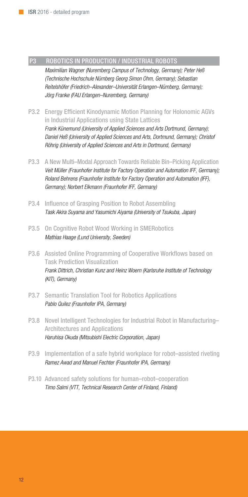### P3 ROBOTICS IN PRODUCTION / INDUSTRIAL ROBOTS

Maximilian Wagner (Nuremberg Campus of Technology, Germany); Peter Heß (Technische Hochschule Nürnberg Georg Simon Ohm, Germany); Sebastian Reitelshöfer (Friedrich–Alexander–Universität Erlangen–Nürnberg, Germany); Jörg Franke (FAU Erlangen–Nuremberg, Germany)

- P3.2 Energy Efficient Kinodynamic Motion Planning for Holonomic AGVs in Industrial Applications using State Lattices Frank Künemund (University of Applied Sciences and Arts Dortmund, Germany); Daniel Heß (University of Applied Sciences and Arts, Dortmund, Germany); Christof Röhrig (University of Applied Sciences and Arts in Dortmund, Germany)
- P3.3 A New Multi–Modal Approach Towards Reliable Bin–Picking Application Veit Müller (Fraunhofer Institute for Factory Operation and Automation IFF, Germany); Roland Behrens (Fraunhofer Institute for Factory Operation and Automation (IFF), Germany); Norbert Elkmann (Fraunhofer IFF, Germany)
- P3.4 Influence of Grasping Position to Robot Assembling Task Akira Suyama and Yasumichi Aiyama (University of Tsukuba, Japan)
- P3.5 On Cognitive Robot Wood Working in SMERobotics Mathias Haage (Lund University, Sweden)
- P3.6 Assisted Online Programming of Cooperative Workflows based on Task Prediction Visualization Frank Dittrich, Christian Kunz and Heinz Woern (Karlsruhe Institute of Technology (KIT), Germany)
- P3.7 Semantic Translation Tool for Robotics Applications Pablo Quilez (Fraunhofer IPA, Germany)
- P3.8 Novel Intelligent Technologies for Industrial Robot in Manufacturing– Architectures and Applications Haruhisa Okuda (Mitsubishi Electric Corporation, Japan)
- P3.9 Implementation of a safe hybrid workplace for robot–assisted riveting Ramez Awad and Manuel Fechter (Fraunhofer IPA, Germany)
- P3.10 Advanced safety solutions for human–robot–cooperation Timo Salmi (VTT, Technical Research Center of Finland, Finland)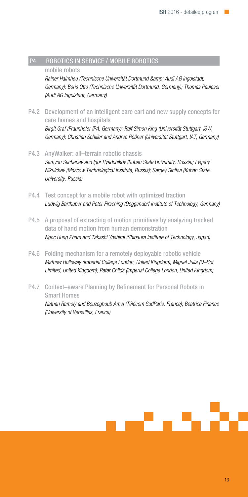### P4 ROBOTICS IN SERVICE / MOBILE ROBOTICS

#### mobile robots

Rainer Halmheu (Technische Universität Dortmund & amp; Audi AG Ingolstadt, Germany); Boris Otto (Technische Universität Dortmund, Germany); Thomas Pauleser (Audi AG Ingolstadt, Germany)

- P4.2 Development of an intelligent care cart and new supply concepts for care homes and hospitals Birgit Graf (Fraunhofer IPA, Germany); Ralf Simon King (Universität Stuttgart, ISW, Germany); Christian Schiller and Andrea Rößner (Universität Stuttgart, IAT, Germany)
- P4.3 AnyWalker: all–terrain robotic chassis Semyon Sechenev and Igor Ryadchikov (Kuban State University, Russia); Evgeny Nikulchev (Moscow Technological Institute, Russia); Sergey Sinitsa (Kuban State University, Russia)
- P4.4 Test concept for a mobile robot with optimized traction Ludwig Barthuber and Peter Firsching (Deggendorf Institute of Technology, Germany)
- P4.5 A proposal of extracting of motion primitives by analyzing tracked data of hand motion from human demonstration Ngoc Hung Pham and Takashi Yoshimi (Shibaura Institute of Technology, Japan)
- P4.6 Folding mechanism for a remotely deployable robotic vehicle Mathew Holloway (Imperial College London, United Kingdom); Miguel Julia (Q–Bot Limited, United Kingdom); Peter Childs (Imperial College London, United Kingdom)
- P4.7 Context–aware Planning by Refinement for Personal Robots in Smart Homes

Nathan Ramoly and Bouzeghoub Amel (Télécom SudParis, France); Beatrice Finance (University of Versailles, France)

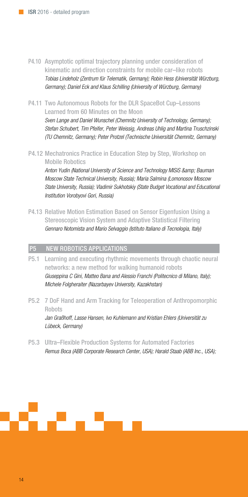- P4.10 Asymptotic optimal trajectory planning under consideration of kinematic and direction constraints for mobile car–like robots Tobias Lindeholz (Zentrum für Telematik, Germany); Robin Hess (Universität Würzburg, Germany); Daniel Eck and Klaus Schilling (University of Würzburg, Germany)
- P4.11 Two Autonomous Robots for the DLR SpaceBot Cup–Lessons Learned from 60 Minutes on the Moon

Sven Lange and Daniel Wunschel (Chemnitz University of Technology, Germany); Stefan Schubert, Tim Pfeifer, Peter Weissig, Andreas Uhlig and Martina Truschzinski (TU Chemnitz, Germany); Peter Protzel (Technische Universität Chemnitz, Germany)

P4.12 Mechatronics Practice in Education Step by Step, Workshop on Mobile Robotics

Anton Yudin (National University of Science and Technology MISiS & amp; Bauman Moscow State Technical University, Russia); Maria Salmina (Lomonosov Moscow State University, Russia); Vladimir Sukhotskiy (State Budget Vocational and Educational Institution Vorobyovi Gori, Russia)

P4.13 Relative Motion Estimation Based on Sensor Eigenfusion Using a Stereoscopic Vision System and Adaptive Statistical Filtering Gennaro Notomista and Mario Selvaggio (Istituto Italiano di Tecnologia, Italy)

### P5 NEW ROBOTICS APPLICATIONS

- P5.1 Learning and executing rhythmic movements through chaotic neural networks: a new method for walking humanoid robots Giuseppina C Gini, Matteo Bana and Alessio Franchi (Politecnico di Milano, Italy); Michele Folgheraiter (Nazarbayev University, Kazakhstan)
- P5.2 7 DoF Hand and Arm Tracking for Teleoperation of Anthropomorphic Robots Jan Graßhoff, Lasse Hansen, Ivo Kuhlemann and Kristian Ehlers (Universität zu Lübeck, Germany)
- P5.3 Ultra–Flexible Production Systems for Automated Factories Remus Boca (ABB Corporate Research Center, USA); Harald Staab (ABB Inc., USA);

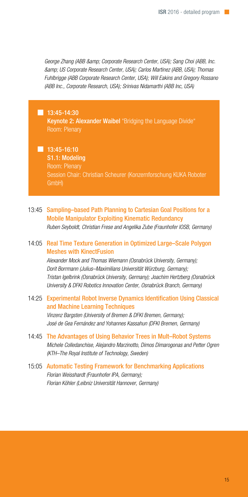George Zhang (ABB & amp: Corporate Research Center, USA); Sang Choi (ABB, Inc. & US Corporate Research Center, USA); Carlos Martinez (ABB, USA); Thomas Fuhlbrigge (ABB Corporate Research Center, USA); Will Eakins and Gregory Rossano (ABB Inc., Corporate Research, USA); Srinivas Nidamarthi (ABB Inc, USA)

### $13:45-14:30$

Keynote 2: Alexander Waibel "Bridging the Language Divide" Room: Plenary

### 13:45-16:10

S1.1: Modeling Room: Plenary Session Chair: Christian Scheurer (Konzernforschung KUKA Roboter

### 13:45 Sampling–based Path Planning to Cartesian Goal Positions for a Mobile Manipulator Exploiting Kinematic Redundancy

Ruben Seyboldt, Christian Frese and Angelika Zube (Fraunhofer IOSB, Germany)

### 14:05 Real Time Texture Generation in Optimized Large–Scale Polygon Meshes with KinectFusion

Alexander Mock and Thomas Wiemann (Osnabrück University, Germany); Dorit Borrmann (Julius–Maximilians Universität Würzburg, Germany); Tristan Igelbrink (Osnabrück University, Germany); Joachim Hertzberg (Osnabrück University & DFKI Robotics Innovation Center, Osnabrück Branch, Germany)

### 14:25 Experimental Robot Inverse Dynamics Identification Using Classical and Machine Learning Techniques

Vinzenz Bargsten (University of Bremen & DFKI Bremen, Germany); José de Gea Fernández and Yohannes Kassahun (DFKI Bremen, Germany)

14:45 The Advantages of Using Behavior Trees in Mult–Robot Systems Michele Colledanchise, Alejandro Marzinotto, Dimos Dimarogonas and Petter Ogren (KTH–The Royal Institute of Technology, Sweden)

### 15:05 Automatic Testing Framework for Benchmarking Applications Florian Weisshardt (Fraunhofer IPA, Germany); Florian Köhler (Leibniz Universität Hannover, Germany)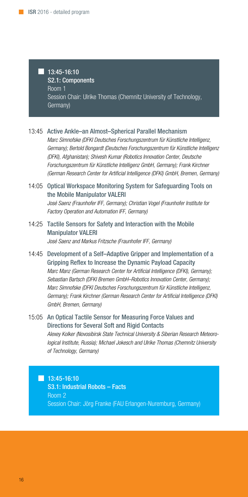## 13:45-16:10

S2.1: Components Room 1 Session Chair: Ulrike Thomas (Chemnitz University of Technology, Germany)

- 13:45 Active Ankle–an Almost–Spherical Parallel Mechanism Marc Simnofske (DFKI Deutsches Forschungszentrum für Künstliche Intelligenz, Germany); Bertold Bongardt (Deutsches Forschungszentrum für Künstliche Intelligenz (DFKI), Afghanistan); Shivesh Kumar (Robotics Innovation Center, Deutsche Forschungszentrum für Künstliche Intelligenz GmbH, Germany); Frank Kirchner
- 14:05 Optical Workspace Monitoring System for Safeguarding Tools on the Mobile Manipulator VALERI José Saenz (Fraunhofer IFF, Germany); Christian Vogel (Fraunhofer Institute for Factory Operation and Automation IFF, Germany)

(German Research Center for Artificial Intelligence (DFKI) GmbH, Bremen, Germany)

- 14:25 Tactile Sensors for Safety and Interaction with the Mobile Manipulator VALERI José Saenz and Markus Fritzsche (Fraunhofer IFF, Germany)
- 14:45 Development of a Self–Adaptive Gripper and Implementation of a Gripping Reflex to Increase the Dynamic Payload Capacity Marc Manz (German Research Center for Artificial Intelligence (DFKI), Germany); Sebastian Bartsch (DFKI Bremen GmbH–Robotics Innovation Center, Germany); Marc Simnofske (DFKI Deutsches Forschungszentrum für Künstliche Intelligenz, Germany); Frank Kirchner (German Research Center for Artificial Intelligence (DFKI) GmbH, Bremen, Germany)
- 15:05 An Optical Tactile Sensor for Measuring Force Values and Directions for Several Soft and Rigid Contacts Alexey Kolker (Novosibirsk State Technical University & Siberian Research Meteorological Institute, Russia); Michael Jokesch and Ulrike Thomas (Chemnitz University of Technology, Germany)

13:45-16:10 S3.1: Industrial Robots – Facts Room 2 Session Chair: Jörg Franke (FAU Erlangen-Nuremburg, Germany)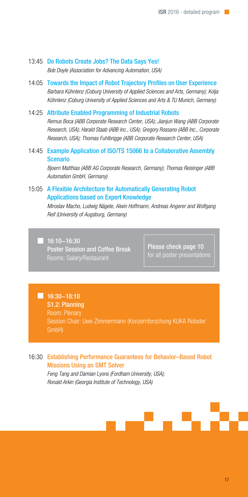### 13:45 Do Robots Create Jobs? The Data Says Yes!

Bob Doyle (Association for Advancing Automation, USA)

- 14:05 Towards the Impact of Robot Trajectory Profiles on User Experience Barbara Kühnlenz (Coburg University of Applied Sciences and Arts, Germany); Kolja Kühnlenz (Coburg University of Applied Sciences and Arts & TU Munich, Germany)
- 14:25 Attribute Enabled Programming of Industrial Robots Remus Boca (ABB Corporate Research Center, USA); Jianjun Wang (ABB Corporate Research, USA); Harald Staab (ABB Inc., USA); Gregory Rossano (ABB Inc., Corporate Research, USA); Thomas Fuhlbrigge (ABB Corporate Research Center, USA)
- 14:45 Example Application of ISO/TS 15066 to a Collaborative Assembly Scenario

Bjoern Matthias (ABB AG Corporate Research, Germany); Thomas Reisinger (ABB Automation GmbH, Germany)

### 15:05 A Flexible Architecture for Automatically Generating Robot Applications based on Expert Knowledge

Miroslav Macho, Ludwig Nägele, Alwin Hoffmann, Andreas Angerer and Wolfgang Reif (University of Augsburg, Germany)

16:10−16:30 Poster Session and Coffee Break

Please check page 10

### 16:30−18:10

S1.2: Planning Room: Plenary Session Chair: Uwe Zimmermann (Konzernforschung KUKA Roboter GmbH)

### 16:30 Establishing Performance Guarantees for Behavior–Based Robot Missions Using an SMT Solver

Feng Tang and Damian Lyons (Fordham University, USA); Ronald Arkin (Georgia Institute of Technology, USA)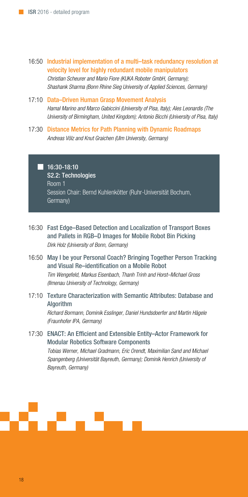- 16:50 Industrial implementation of a multi–task redundancy resolution at velocity level for highly redundant mobile manipulators Christian Scheurer and Mario Fiore (KUKA Roboter GmbH, Germany); Shashank Sharma (Bonn Rhine Sieg University of Applied Sciences, Germany)
- 17:10 Data–Driven Human Grasp Movement Analysis Hamal Marino and Marco Gabiccini (University of Pisa, Italy); Ales Leonardis (The University of Birmingham, United Kingdom); Antonio Bicchi (University of Pisa, Italy)
- 17:30 Distance Metrics for Path Planning with Dynamic Roadmaps Andreas Völz and Knut Graichen (Ulm University, Germany)

 $16:30-18:10$ S2.2: Technologies Room 1 Session Chair: Bernd Kuhlenkötter (Ruhr-Universität Bochum, Germany)

- 16:30 Fast Edge–Based Detection and Localization of Transport Boxes and Pallets in RGB–D Images for Mobile Robot Bin Picking Dirk Holz (University of Bonn, Germany)
- 16:50 May I be your Personal Coach? Bringing Together Person Tracking and Visual Re–identification on a Mobile Robot Tim Wengefeld, Markus Eisenbach, Thanh Trinh and Horst–Michael Gross (Ilmenau University of Technology, Germany)
- 17:10 Texture Characterization with Semantic Attributes: Database and Algorithm Richard Bormann, Dominik Esslinger, Daniel Hundsdoerfer and Martin Hägele (Fraunhofer IPA, Germany)
- 17:30 ENACT: An Efficient and Extensible Entity–Actor Framework for Modular Robotics Software Components Tobias Werner, Michael Gradmann, Eric Orendt, Maximilian Sand and Michael Spangenberg (Universität Bayreuth, Germany); Dominik Henrich (University of Bayreuth, Germany)

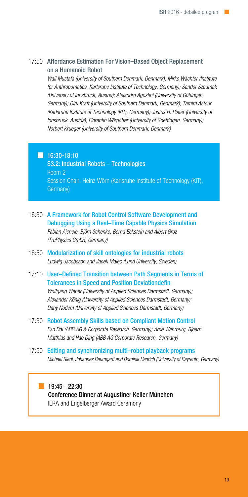### 17:50 Affordance Estimation For Vision–Based Object Replacement on a Humanoid Robot

Wail Mustafa (University of Southern Denmark, Denmark); Mirko Wächter (Institute for Anthropomatics, Karlsruhe Institute of Technology, Germany); Sandor Szedmak (University of Innsbruck, Austria); Alejandro Agostini (University of Göttingen, Germany); Dirk Kraft (University of Southern Denmark, Denmark); Tamim Asfour (Karlsruhe Institute of Technology (KIT), Germany); Justus H. Piater (University of Innsbruck, Austria); Florentin Wörgötter (University of Goettingen, Germany); Norbert Krueger (University of Southern Denmark, Denmark)

### 16:30-18:10

S3.2: Industrial Robots – Technologies Room 2 Session Chair: Heinz Wörn (Karlsruhe Institute of Technology (KIT), Germany)

- 16:30 A Framework for Robot Control Software Development and Debugging Using a Real–Time Capable Physics Simulation Fabian Aichele, Björn Schenke, Bernd Eckstein and Albert Groz (TruPhysics GmbH, Germany)
- 16:50 Modularization of skill ontologies for industrial robots Ludwig Jacobsson and Jacek Malec (Lund University, Sweden)
- 17:10 User–Defined Transition between Path Segments in Terms of Tolerances in Speed and Position Deviationdefin

Wolfgang Weber (University of Applied Sciences Darmstadt, Germany); Alexander König (University of Applied Sciences Darmstadt, Germany); Dany Nodem (University of Applied Sciences Darmstadt, Germany)

- 17:30 Robot Assembly Skills based on Compliant Motion Control Fan Dai (ABB AG & Corporate Research, Germany); Arne Wahrburg, Bjoern Matthias and Hao Ding (ABB AG Corporate Research, Germany)
- 17:50 Editing and synchronizing multi–robot playback programs Michael Riedl, Johannes Baumgartl and Dominik Henrich (University of Bayreuth, Germany)

### ■ 19:45 -22:30

Conference Dinner at Augustiner Keller München IERA and Engelberger Award Ceremony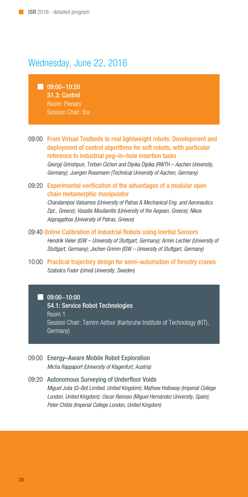### Wednesday, June 22, 2016

09:00−10:20 S1.3: Control Room: Plenary Session Chair: tba

- 09:00 From Virtual Testbeds to real lightweight robots: Development and deployment of control algorithms for soft robots, with particular reference to industrial peg–in–hole insertion tasks Georgij Grinshpun, Torben Cichon and Dipika Dipika (RWTH – Aachen University, Germany); Juergen Rossmann (Technical University of Aachen, Germany)
- 09:20 Experimental verification of the advantages of a modular open chain metamorphic manipulator Charalampos Valsamos (University of Patras & Mechanical Eng. and Aeronautics Dpt., Greece); Vassilis Moulianitis (University of the Aegean, Greece); Nikos Aspragathos (University of Patras, Greece)
- 09:40 Online Calibration of Industrial Robots using Inertial Sensors Hendrik Vieler (ISW – University of Stuttgart, Germany); Armin Lechler (University of Stuttgart, Germany); Jochen Grimm (ISW – University of Stuttgart, Germany)
- 10:00 Practical trajectory design for semi–automation of forestry cranes Szabolcs Fodor (Umeå University, Sweden)

■ 09:00-10:00

S4.1: Service Robot Technologies Room 1 Session Chair: Tamim Asfour (Karlsruhe Institute of Technology (KIT), Germany)

09:00 Energy–Aware Mobile Robot Exploration Micha Rappaport (University of Klagenfurt, Austria)

09:20 Autonomous Surveying of Underfloor Voids Miguel Julia (Q–Bot Limited, United Kingdom); Mathew Holloway (Imperial College London, United Kingdom); Oscar Reinoso (Miguel Hernández University, Spain); Peter Childs (Imperial College London, United Kingdom)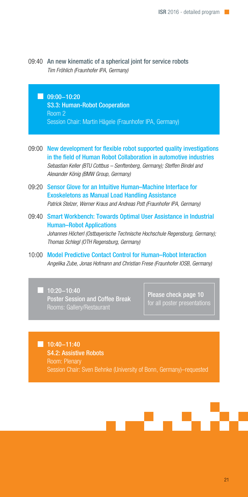09:40 An new kinematic of a spherical joint for service robots Tim Fröhlich (Fraunhofer IPA, Germany)

09:00−10:20 S3.3: Human-Robot Cooperation Room 2 Session Chair: Martin Hägele (Fraunhofer IPA, Germany)

- 09:00 New development for flexible robot supported quality investigations in the field of Human Robot Collaboration in automotive industries Sebastian Keller (BTU Cottbus – Senftenberg, Germany); Steffen Bindel and Alexander König (BMW Group, Germany)
- 09:20 Sensor Glove for an Intuitive Human–Machine Interface for Exoskeletons as Manual Load Handling Assistance Patrick Stelzer, Werner Kraus and Andreas Pott (Fraunhofer IPA, Germany)
- 09:40 Smart Workbench: Towards Optimal User Assistance in Industrial Human–Robot Applications Johannes Höcherl (Ostbayerische Technische Hochschule Regensburg, Germany); Thomas Schlegl (OTH Regensburg, Germany)
- 10:00 Model Predictive Contact Control for Human–Robot Interaction Angelika Zube, Jonas Hofmann and Christian Frese (Fraunhofer IOSB, Germany)

10:20−10:40 Poster Session and Coffee Break Rooms: Gallery/Restaurant

Please check page 10 for all poster presentations

10:40−11:40 S4.2: Assistive Robots Room: Plenary Session Chair: Sven Behnke (University of Bonn, Germany)–requested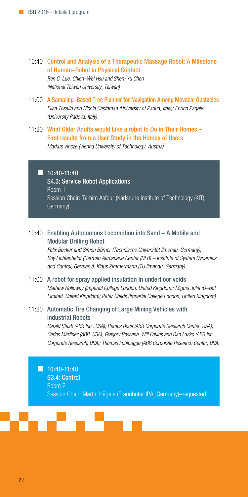- 10:40 Control and Analysis of a Therapeutic Massage Robot: A Milestone of Human–Robot in Physical Contact Ren C. Luo, Chien–Wei Hsu and Shen–Yu Chen (National Taiwan University, Taiwan)
- 11:00 A Sampling–Based Tree Planner for Navigation Among Movable Obstacles Elisa Tosello and Nicola Castaman (University of Padua, Italy); Enrico Pagello (University Padova, Italy)
- 11:20 What Older Adults would Like a robot to Do in Their Homes First results from a User Study in the Homes of Users Markus Vincze (Vienna University of Technology, Austria)

#### $10:40-11:40$

S4.3: Service Robot Applications Room 1 Session Chair: Tamim Asfour (Karlsruhe Institute of Technology (KIT), Germany)

### 10:40 Enabling Autonomous Locomotion into Sand – A Mobile and Modular Drilling Robot

Felix Becker and Simon Börner (Technische Universität Ilmenau, Germany); Roy Lichtenheldt (German Aerospace Center (DLR) – Institute of System Dynamics and Control, Germany); Klaus Zimmermann (TU Ilmenau, Germany)

11:00 A robot for spray applied insulation in underfloor voids Mathew Holloway (Imperial College London, United Kingdom); Miguel Julia (Q–Bot Limited, United Kingdom); Peter Childs (Imperial College London, United Kingdom)

### 11:20 Automatic Tire Changing of Large Mining Vehicles with Industrial Robots

Harald Staab (ABB Inc., USA); Remus Boca (ABB Corporate Research Center, USA); Carlos Martinez (ABB, USA); Gregory Rossano, Will Eakins and Dan Lasko (ABB Inc., Corporate Research, USA); Thomas Fuhlbrigge (ABB Corporate Research Center, USA)

- $10:40-11:40$ 
	- S3.4: Control

Room 2

Session Chair: Martin Hägele (Fraunhofer IPA, Germany)–requested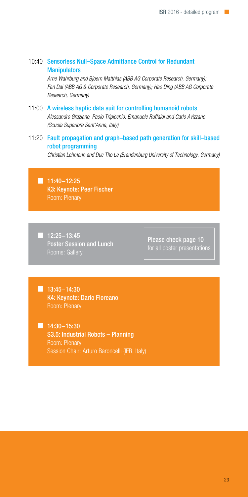10:40 Sensorless Null–Space Admittance Control for Redundant **Manipulators** 

> Arne Wahrburg and Bjoern Matthias (ABB AG Corporate Research, Germany); Fan Dai (ABB AG & Corporate Research, Germany); Hao Ding (ABB AG Corporate Research, Germany)

- 11:00 A wireless haptic data suit for controlling humanoid robots Alessandro Graziano, Paolo Tripicchio, Emanuele Ruffaldi and Carlo Avizzano (Scuola Superiore Sant'Anna, Italy)
- 11:20 Fault propagation and graph–based path generation for skill–based robot programming

Christian Lehmann and Duc Tho Le (Brandenburg University of Technology, Germany)

■ 11:40-12:25 K3: Keynote: Peer Fischer Room: Plenary

12:25−13:45 Poster Session and Lunch Rooms: Gallery

Please check page 10

■ 13:45−14:30 K4: Keynote: Dario Floreano Room: Plenary

■ 14:30-15:30 S3.5: Industrial Robots – Planning Room: Plenary Session Chair: Arturo Baroncelli (IFR, Italy)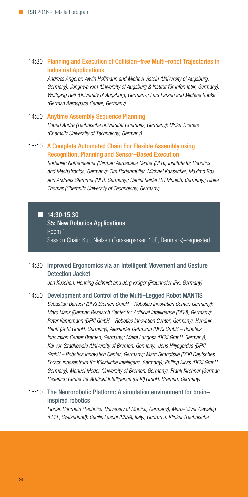### 14:30 Planning and Execution of Collision–free Multi–robot Trajectories in Industrial Applications

Andreas Angerer, Alwin Hoffmann and Michael Vistein (University of Augsburg, Germany); Jonghwa Kim (University of Augsburg & Institut für Informatik, Germany); Wolfgang Reif (University of Augsburg, Germany); Lars Larsen and Michael Kupke (German Aerospace Center, Germany)

### 14:50 Anytime Assembly Sequence Planning Robert Andre (Technische Universität Chemnitz, Germany); Ulrike Thomas (Chemnitz University of Technology, Germany)

### 15:10 A Complete Automated Chain For Flexible Assembly using Recognition, Planning and Sensor–Based Execution

Korbinian Nottensteiner (German Aerospace Center (DLR), Institute for Robotics and Mechatronics, Germany); Tim Bodenmüller, Michael Kassecker, Maximo Roa and Andreas Stemmer (DLR, Germany); Daniel Seidel (TU Munich, Germany); Ulrike Thomas (Chemnitz University of Technology, Germany)

 $14:30-15:30$ S5: New Robotics Applications Room 1 Session Chair: Kurt Nielsen (Forskerparken 10F, Denmark)–requested

### 14:30 Improved Ergonomics via an Intelligent Movement and Gesture Detection Jacket

Jan Kuschan, Henning Schmidt and Jörg Krüger (Fraunhofer IPK, Germany)

### 14:50 Development and Control of the Multi–Legged Robot MANTIS Sebastian Bartsch (DFKI Bremen GmbH – Robotics Innovation Center, Germany); Marc Manz (German Research Center for Artificial Intelligence (DFKI), Germany); Peter Kampmann (DFKI GmbH – Robotics Innovation Center, Germany); Hendrik Hanff (DFKI GmbH, Germany); Alexander Dettmann (DFKI GmbH – Robotics Innovation Center Bremen, Germany); Malte Langosz (DFKI GmbH, Germany); Kai von Szadkowski (University of Bremen, Germany); Jens Hilljegerdes (DFKI GmbH – Robotics Innovation Center, Germany); Marc Simnofske (DFKI Deutsches Forschungszentrum für Künstliche Intelligenz, Germany); Philipp Kloss (DFKI GmbH, Germany); Manuel Meder (University of Bremen, Germany); Frank Kirchner (German Research Center for Artificial Intelligence (DFKI) GmbH, Bremen, Germany)

### 15:10 The Neurorobotic Platform: A simulation environment for brain– inspired robotics

Florian Röhrbein (Technical University of Munich, Germany); Marc–Oliver Gewaltig (EPFL, Switzerland); Cecilia Laschi (SSSA, Italy); Gudrun J. Klinker (Technische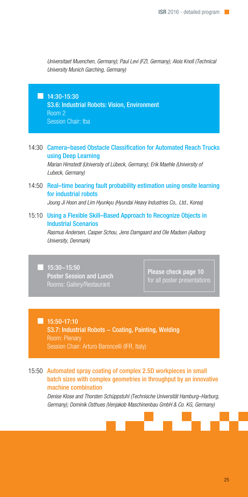Universitaet Muenchen, Germany); Paul Levi (FZI, Germany); Alois Knoll (Technical University Munich Garching, Germany)

 $14:30 - 15:30$ S3.6: Industrial Robots: Vision, Environment Room 2 Session Chair: tba

14:30 Camera–based Obstacle Classification for Automated Reach Trucks using Deep Learning

Marian Himstedt (University of Lübeck, Germany); Erik Maehle (University of Lubeck, Germany)

14:50 Real–time bearing fault probability estimation using onsite learning for industrial robots

Joung Ji Hoon and Lim Hyunkyu (Hyundai Heavy Industries Co,. Ltd., Korea)

15:10 Using a Flexible Skill–Based Approach to Recognize Objects in Industrial Scenarios

> Rasmus Andersen, Casper Schou, Jens Damgaard and Ole Madsen (Aalborg University, Denmark)

15:30−15:50 Poster Session and Lunch Rooms: Gallery/Restaurant

Please check page 10 for all poster presentations

### $15:50-17:10$ S3.7: Industrial Robots − Coating, Painting, Welding Room: Plenary Session Chair: Arturo Baroncelli (IFR, Italy)

### 15:50 Automated spray coating of complex 2.5D workpieces in small batch sizes with complex geometries in throughput by an innovative machine combination

Denise Klose and Thorsten Schüppstuhl (Technische Universität Hamburg–Harburg, Germany); Dominik Osthues (Venjakob Maschinenbau GmbH & Co. KG, Germany)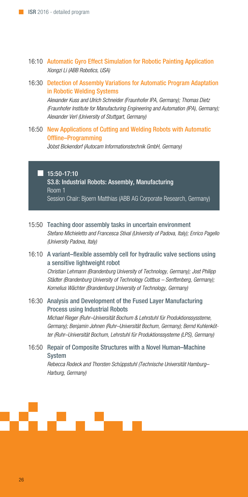- 16:10 Automatic Gyro Effect Simulation for Robotic Painting Application Xiongzi Li (ABB Robotics, USA)
- 16:30 Detection of Assembly Variations for Automatic Program Adaptation in Robotic Welding Systems

Alexander Kuss and Ulrich Schneider (Fraunhofer IPA, Germany); Thomas Dietz (Fraunhofer Institute for Manufacturing Engineering and Automation (IPA), Germany); Alexander Verl (University of Stuttgart, Germany)

16:50 New Applications of Cutting and Welding Robots with Automatic Offline–Programming

Jobst Bickendorf (Autocam Informationstechnik GmbH, Germany)

#### $15:50-17:10$

S3.8: Industrial Robots: Assembly, Manufacturing Room 1 Session Chair: Bjoern Matthias (ABB AG Corporate Research, Germany)

- 15:50 Teaching door assembly tasks in uncertain environment Stefano Michieletto and Francesca Stival (University of Padova, Italy); Enrico Pagello (University Padova, Italy)
- 16:10 A variant–flexible assembly cell for hydraulic valve sections using a sensitive lightweight robot Christian Lehmann (Brandenburg University of Technology, Germany); Jost Philipp Städter (Brandenburg University of Technology Cottbus – Senftenberg, Germany); Kornelius Wächter (Brandenburg University of Technology, Germany)
- 16:30 Analysis and Development of the Fused Layer Manufacturing Process using Industrial Robots Michael Rieger (Ruhr–Universität Bochum & Lehrstuhl für Produktionssyssteme, Germany); Benjamin Johnen (Ruhr–Universität Bochum, Germany); Bernd Kuhlenkötter (Ruhr–Universität Bochum, Lehrstuhl für Produktionssysteme (LPS), Germany)
- 16:50 Repair of Composite Structures with a Novel Human–Machine System

Rebecca Rodeck and Thorsten Schüppstuhl (Technische Universität Hamburg– Harburg, Germany)

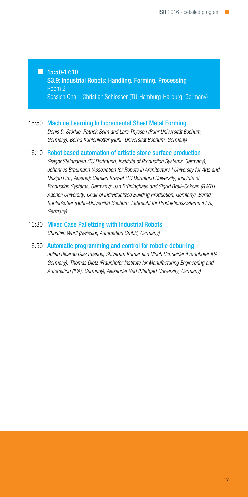15:50-17:10 S3.9: Industrial Robots: Handling, Forming, Processing Room 2 Session Chair: Christian Schlosser (TU-Hamburg-Harburg, Germany)

### 15:50 Machine Learning In Incremental Sheet Metal Forming Denis D. Störkle, Patrick Seim and Lars Thyssen (Ruhr Universität Bochum, Germany); Bernd Kuhlenkötter (Ruhr–Universität Bochum, Germany)

### 16:10 Robot based automation of artistic stone surface production

Gregor Steinhagen (TU Dortmund, Institute of Production Systems, Germany); Johannes Braumann (Association for Robots in Architecture | University for Arts and Design Linz, Austria); Carsten Krewet (TU Dortmund University, Institute of Production Systems, Germany); Jan Brüninghaus and Sigrid Brell–Cokcan (RWTH Aachen University, Chair of Individualized Building Production, Germany); Bernd Kuhlenkötter (Ruhr–Universität Bochum, Lehrstuhl für Produktionssysteme (LPS), Germany)

- 16:30 Mixed Case Palletizing with Industrial Robots Christian Wurll (Swisslog Automation GmbH, Germany)
- 16:50 Automatic programming and control for robotic deburring Julian Ricardo Diaz Posada, Shivaram Kumar and Ulrich Schneider (Fraunhofer IPA, Germany); Thomas Dietz (Fraunhofer Institute for Manufacturing Engineering and Automation (IPA), Germany); Alexander Verl (Stuttgart University, Germany)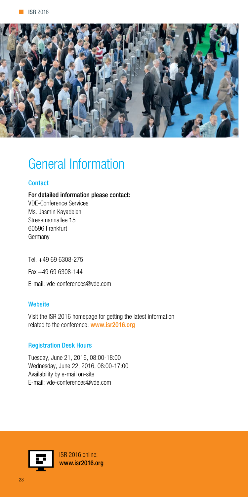

## General Information

### **Contact**

For detailed information please contact:

VDE-Conference Services Ms. Jasmin Kayadelen Stresemannallee 15 60596 Frankfurt Germany

Tel. +49 69 6308-275 Fax +49 69 6308-144 E-mail: vde-conferences@vde.com

### **Website**

Visit the ISR 2016 homepage for getting the latest information related to the conference: www.isr2016.org

### Registration Desk Hours

Tuesday, June 21, 2016, 08:00-18:00 Wednesday, June 22, 2016, 08:00-17:00 Availability by e-mail on-site E-mail: vde-conferences@vde.com



ISR 2016 online: www.isr2016.org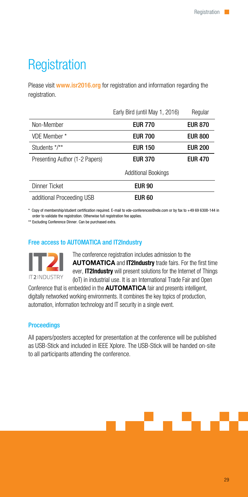## **Registration**

Please visit www.isr2016.org for registration and information regarding the registration.

|                                | Early Bird (until May 1, 2016) | Regular        |
|--------------------------------|--------------------------------|----------------|
| Non-Member                     | <b>EUR 770</b>                 | <b>EUR 870</b> |
| VDE Member *                   | <b>EUR 700</b>                 | <b>EUR 800</b> |
| Students */**                  | <b>EUR 150</b>                 | <b>EUR 200</b> |
| Presenting Author (1-2 Papers) | <b>EUR 370</b>                 | <b>EUR 470</b> |
|                                | <b>Additional Bookings</b>     |                |
| Dinner Ticket                  | <b>EUR 90</b>                  |                |
| additional Proceeding USB      | <b>EUR 60</b>                  |                |

\* Copy of membership/student certification required. E-mail to vde-conferences@vde.com or by fax to +49 69 6308-144 in order to validate the registration. Otherwise full registration fee applies.

\*\* Excluding Conference Dinner. Can be purchased extra.

### Free access to AUTOMATICA and IT2Industry



The conference registration includes admission to the AUTOMATICA and IT2Industry trade fairs. For the first time ever, IT2Industry will present solutions for the Internet of Things (IoT) in industrial use. It is an International Trade Fair and Open

Conference that is embedded in the **AUTOMATICA** fair and presents intelligent, digitally networked working environments. It combines the key topics of production, automation, information technology and IT security in a single event.

### **Proceedings**

All papers/posters accepted for presentation at the conference will be published as USB-Stick and included in IEEE Xplore. The USB-Stick will be handed on-site to all participants attending the conference.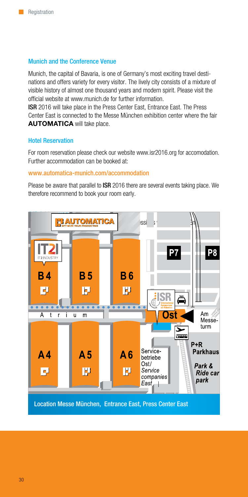### Munich and the Conference Venue

Munich, the capital of Bavaria, is one of Germany's most exciting travel destinations and offers variety for every visitor. The lively city consists of a mixture of visible history of almost one thousand years and modern spirit. Please visit the official website at www.munich.de for further information.

ISR 2016 will take place in the Press Center East, Entrance East. The Press Center East is connected to the Messe München exhibition center where the fair AUTOMATICA will take place.

### Hotel Reservation

For room reservation please check our website www.isr2016.org for accomodation. Further accommodation can be booked at:

### www.automatica-munich.com/accommodation

Please be aware that parallel to ISR 2016 there are several events taking place. We therefore recommend to book your room early.

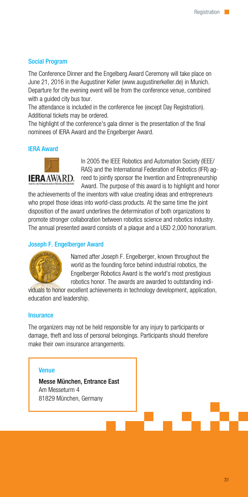### Social Program

The Conference Dinner and the Engelberg Award Ceremony will take place on June 21, 2016 in the Augustiner Keller (www.augustinerkeller.de) in Munich. Departure for the evening event will be from the conference venue, combined with a quided city bus tour.

The attendance is included in the conference fee (except Day Registration). Additional tickets may be ordered.

The highlight of the conference's gala dinner is the presentation of the final nominees of IERA Award and the Engelberger Award.

### IERA Award



In 2005 the IEEE Robotics and Automation Society (IEEE/ RAS) and the International Federation of Robotics (IFR) agreed to jointly sponsor the Invention and Entrepreneurship Award. The purpose of this award is to highlight and honor

the achievements of the inventors with value creating ideas and entrepreneurs who propel those ideas into world-class products. At the same time the joint disposition of the award underlines the determination of both organizations to promote stronger collaboration between robotics science and robotics industry. The annual presented award consists of a plaque and a USD 2,000 honorarium.

### Joseph F. Engelberger Award



Named after Joseph F. Engelberger, known throughout the world as the founding force behind industrial robotics, the Engelberger Robotics Award is the world's most prestigious robotics honor. The awards are awarded to outstanding indi-

viduals to honor excellent achievements in technology development, application, education and leadership.

### Insurance

The organizers may not be held responsible for any injury to participants or damage, theft and loss of personal belongings. Participants should therefore make their own insurance arrangements.

#### Venue

Messe München, Entrance East Am Messeturm 4 81829 München, Germany